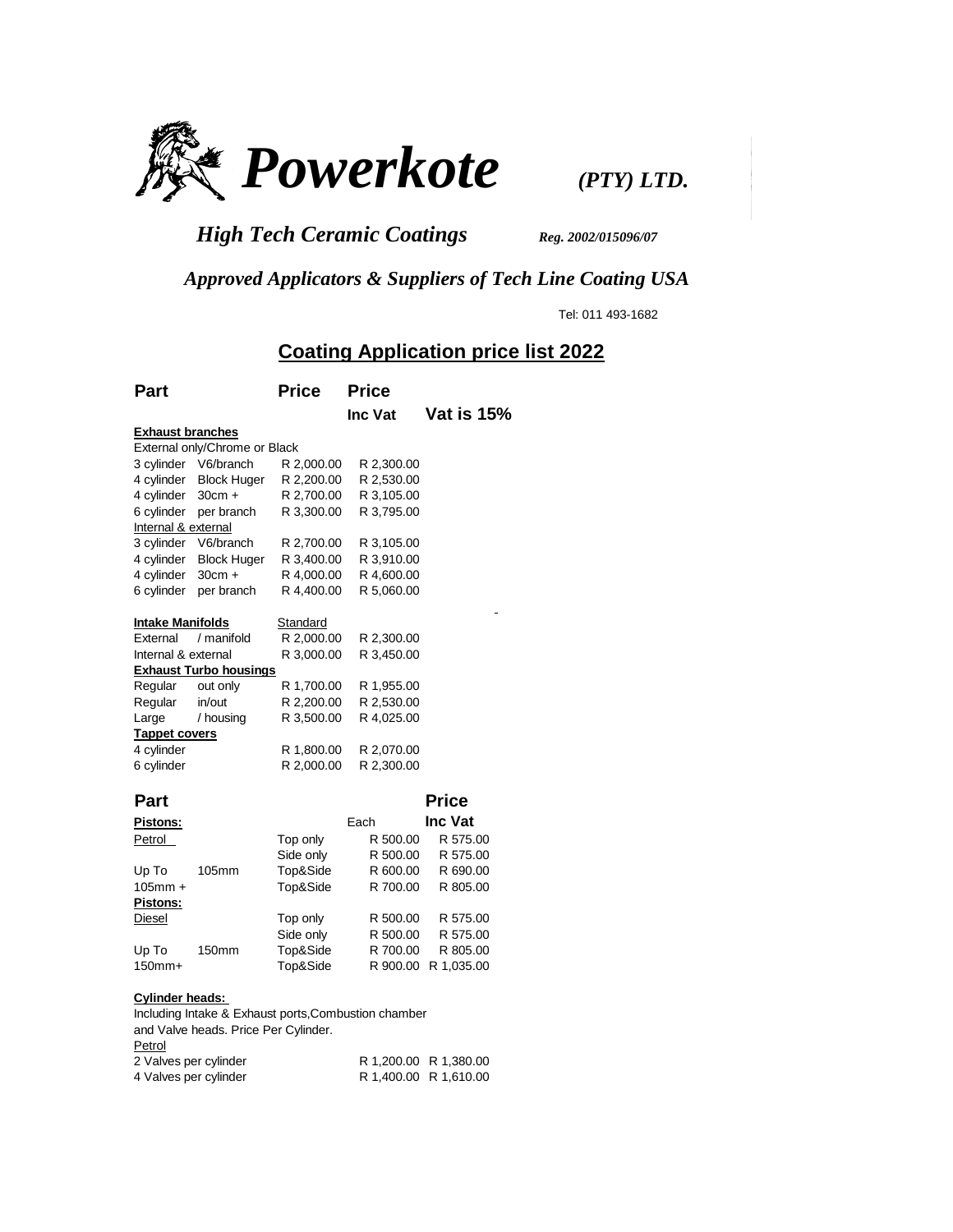

*High Tech Ceramic Coatings Reg. 2002/015096/07* 

 *Approved Applicators & Suppliers of Tech Line Coating USA*

Tel: 011 493-1682

## **Coating Application price list 2022**

| Part                    |                               | <b>Price</b> | <b>Price</b> |                |
|-------------------------|-------------------------------|--------------|--------------|----------------|
|                         |                               |              | Inc Vat      | Vat is 15%     |
| <b>Exhaust branches</b> |                               |              |              |                |
|                         | External only/Chrome or Black |              |              |                |
| 3 cylinder              | V6/branch                     | R 2,000.00   | R 2,300.00   |                |
| 4 cylinder              | <b>Block Huger</b>            | R 2,200.00   | R 2,530.00   |                |
| 4 cylinder              | $30cm +$                      | R 2,700.00   | R 3,105.00   |                |
| 6 cylinder              | per branch                    | R 3,300.00   | R 3,795.00   |                |
| Internal & external     |                               |              |              |                |
|                         | 3 cylinder V6/branch          | R 2,700.00   | R 3,105.00   |                |
| 4 cylinder              | <b>Block Huger</b>            | R 3,400.00   | R 3,910.00   |                |
| 4 cylinder              | $30cm +$                      | R 4,000.00   | R 4,600.00   |                |
| 6 cylinder              | per branch                    | R 4,400.00   | R 5,060.00   |                |
| <b>Intake Manifolds</b> |                               | Standard     |              |                |
| External                | / manifold                    | R 2,000.00   | R 2,300.00   |                |
| Internal & external     |                               | R 3,000.00   | R 3,450.00   |                |
|                         | <b>Exhaust Turbo housings</b> |              |              |                |
| Regular                 | out only                      | R 1,700.00   | R 1,955.00   |                |
| Regular                 | in/out                        | R 2,200.00   | R 2,530.00   |                |
| Large                   | / housing                     | R 3,500.00   | R 4,025.00   |                |
| <b>Tappet covers</b>    |                               |              |              |                |
| 4 cylinder              |                               | R 1,800.00   | R 2,070.00   |                |
| 6 cylinder              |                               | R 2,000.00   | R 2,300.00   |                |
| Part                    |                               |              |              | <b>Price</b>   |
| <b>Pistons:</b>         |                               |              | Each         | <b>Inc Vat</b> |
| Petrol                  |                               | Top only     | R 500.00     | R 575.00       |
|                         |                               | Side only    | R 500.00     | R 575.00       |
| Up To                   | 105mm                         | Top&Side     | R 600.00     | R 690.00       |
| $105$ mm +              |                               | Top&Side     | R 700.00     | R 805.00       |
| Pistons:                |                               |              |              |                |
| Diesel                  |                               | Top only     | R 500.00     | R 575.00       |
|                         |                               | Side only    | R 500.00     | R 575.00       |
| Up To                   | 150mm                         | Top&Side     | R 700.00     | R 805.00       |
| $150mm+$                |                               | Top&Side     | R 900.00     |                |
|                         |                               |              |              | R 1,035.00     |

## **Cylinder heads:**

Including Intake & Exhaust ports,Combustion chamber and Valve heads. Price Per Cylinder. **Petrol** 2 Valves per cylinder R 1,200.00 R 1,380.00<br>4 Valves per cylinder R 1,400.00 R 1,610.00 R 1,400.00 R 1,610.00